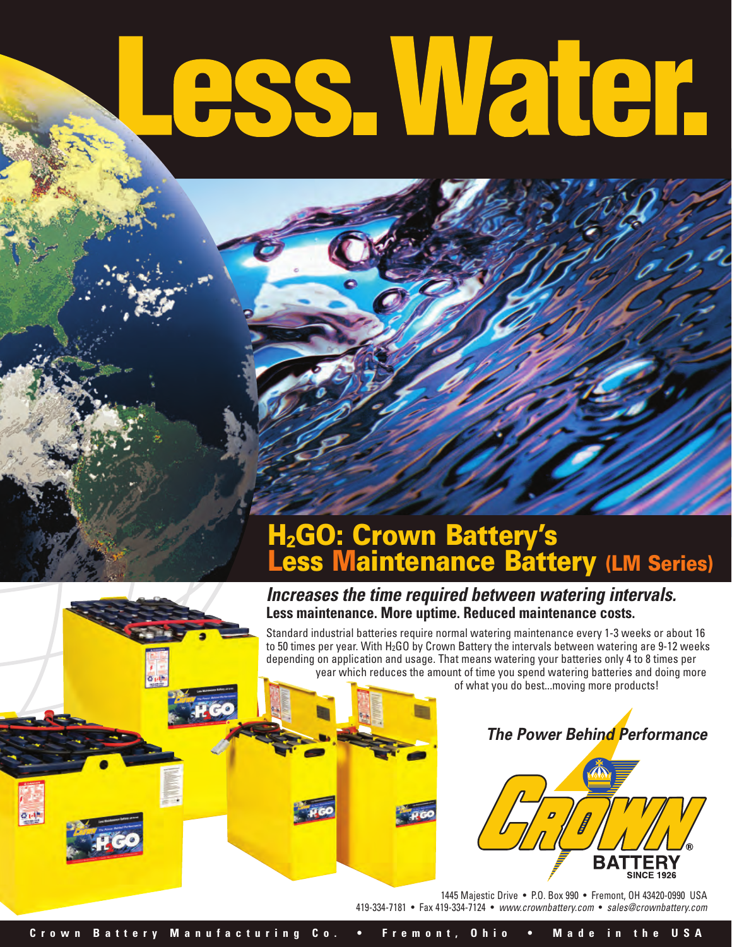# .ess. Water.

## **H2GO: Crown Battery's Less Maintenance Battery (LM Series)**

#### **Increases the time required between watering intervals. Less maintenance. More uptime. Reduced maintenance costs.**

Standard industrial batteries require normal watering maintenance every 1-3 weeks or about 16 to 50 times per year. With H<sub>2</sub>GO by Crown Battery the intervals between watering are 9-12 weeks depending on application and usage. That means watering your batteries only 4 to 8 times per year which reduces the amount of time you spend watering batteries and doing more

of what you do best...moving more products!





1445 Majestic Drive • P.O. Box 990 • Fremont, OH 43420-0990 USA 419-334-7181 • Fax 419-334-7124 • www.crownbattery.com • sales@crownbattery.com